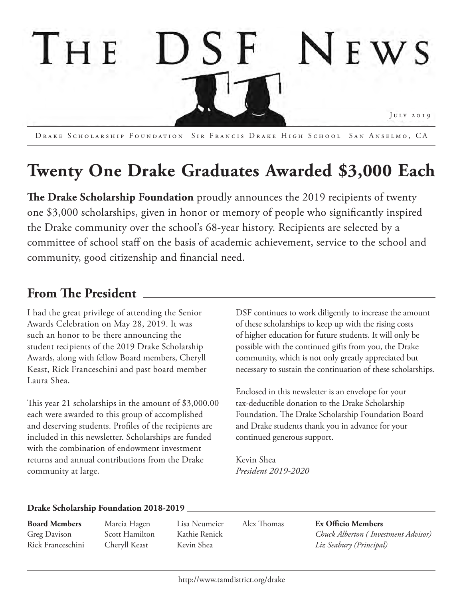

Drake Scholarship Foundation Sir Francis Drake High School San Anselmo, CA

# **Twenty One Drake Graduates Awarded \$3,000 Each**

**The Drake Scholarship Foundation** proudly announces the 2019 recipients of twenty one \$3,000 scholarships, given in honor or memory of people who significantly inspired the Drake community over the school's 68-year history. Recipients are selected by a committee of school staff on the basis of academic achievement, service to the school and community, good citizenship and financial need.

# **From The President**

I had the great privilege of attending the Senior Awards Celebration on May 28, 2019. It was such an honor to be there announcing the student recipients of the 2019 Drake Scholarship Awards, along with fellow Board members, Cheryll Keast, Rick Franceschini and past board member Laura Shea.

This year 21 scholarships in the amount of \$3,000.00 each were awarded to this group of accomplished and deserving students. Profiles of the recipients are included in this newsletter. Scholarships are funded with the combination of endowment investment returns and annual contributions from the Drake community at large.

DSF continues to work diligently to increase the amount of these scholarships to keep up with the rising costs of higher education for future students. It will only be possible with the continued gifts from you, the Drake community, which is not only greatly appreciated but necessary to sustain the continuation of these scholarships.

Enclosed in this newsletter is an envelope for your tax-deductible donation to the Drake Scholarship Foundation. The Drake Scholarship Foundation Board and Drake students thank you in advance for your continued generous support.

Kevin Shea *President 2019-2020* 

#### **Drake Scholarship Foundation 2018-2019**

**Board Members** Greg Davison Rick Franceschini

Marcia Hagen Scott Hamilton Cheryll Keast

Lisa Neumeier Kathie Renick Kevin Shea

Alex Thomas

**Ex Officio Members**  *Chuck Alberton ( Investment Advisor) Liz Seabury (Principal)*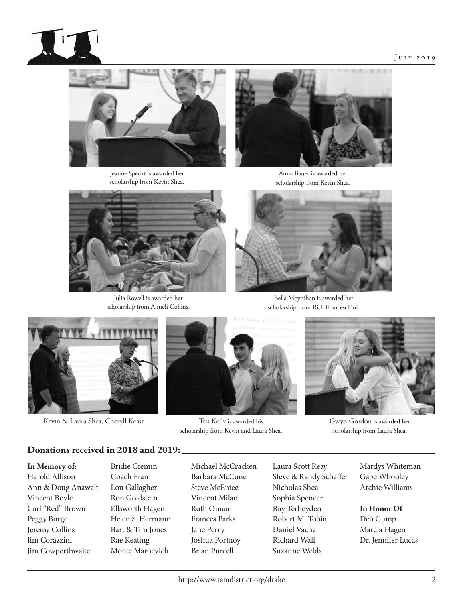#### July 2019





Jeanne Specht is awarded her scholarship from Kevin Shea.



Julia Rowell is awarded her scholarship from Anneli Collins.



Anna Bauer is awarded her scholarship from Kevin Shea.



Bella Moynihan is awarded her scholarship from Rick Franceschini.



Kevin & Laura Shea, Cheryll Keast Tris Kelly is awarded his



scholarship from Kevin and Laura Shea.



Gwyn Gordon is awarded her scholarship from Laura Shea.

#### **Donations received in 2018 and 2019:**

**In Memory of:** Harold Allison Ann & Doug Anawalt Vincent Boyle Carl "Red" Brown Peggy Burge Jeremy Collins Jim Corazzini Jim Cowperthwaite

Bridie Cremin Coach Fran Lon Gallagher Ron Goldstein Ellsworth Hagen Helen S. Hermann Bart & Tim Jones Rae Keating Monte Maroevich

Michael McCracken Barbara McCune Steve McEntee Vincent Milani Ruth Oman Frances Parks Jane Perry Joshua Portnoy Brian Purcell

Laura Scott Reay Steve & Randy Schaffer Nicholas Shea Sophia Spencer Ray Terheyden Robert M. Tobin Daniel Vacha Richard Wall Suzanne Webb

Mardys Whiteman Gabe Whooley Archie Williams

**In Honor Of** Deb Gump Marcia Hagen Dr. Jennifer Lucas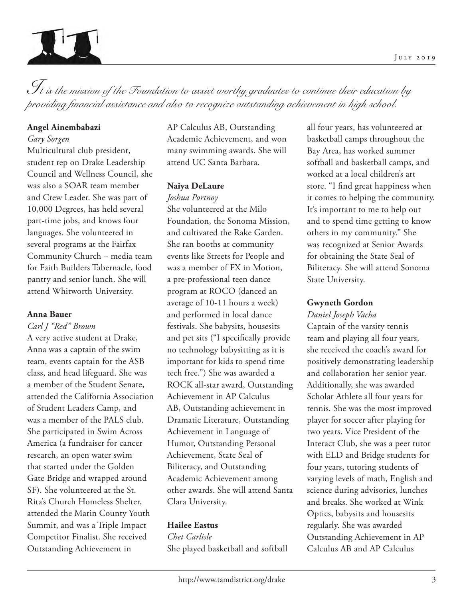

*It is the mission of the Foundation to assist worthy graduates to continue their education by providing financial assistance and also to recognize outstanding achievement in high school.*

#### **Angel Ainembabazi**

*Gary Sorgen*

Multicultural club president, student rep on Drake Leadership Council and Wellness Council, she was also a SOAR team member and Crew Leader. She was part of 10,000 Degrees, has held several part-time jobs, and knows four languages. She volunteered in several programs at the Fairfax Community Church – media team for Faith Builders Tabernacle, food pantry and senior lunch. She will attend Whitworth University.

## **Anna Bauer**

*Carl J "Red" Brown*

A very active student at Drake, Anna was a captain of the swim team, events captain for the ASB class, and head lifeguard. She was a member of the Student Senate, attended the California Association of Student Leaders Camp, and was a member of the PALS club. She participated in Swim Across America (a fundraiser for cancer research, an open water swim that started under the Golden Gate Bridge and wrapped around SF). She volunteered at the St. Rita's Church Homeless Shelter, attended the Marin County Youth Summit, and was a Triple Impact Competitor Finalist. She received Outstanding Achievement in

AP Calculus AB, Outstanding Academic Achievement, and won many swimming awards. She will attend UC Santa Barbara.

## **Naiya DeLaure**

*Joshua Portnoy* She volunteered at the Milo Foundation, the Sonoma Mission, and cultivated the Rake Garden. She ran booths at community events like Streets for People and was a member of FX in Motion, a pre-professional teen dance program at ROCO (danced an average of 10-11 hours a week) and performed in local dance festivals. She babysits, housesits and pet sits ("I specifically provide no technology babysitting as it is important for kids to spend time tech free.") She was awarded a ROCK all-star award, Outstanding Achievement in AP Calculus AB, Outstanding achievement in Dramatic Literature, Outstanding Achievement in Language of Humor, Outstanding Personal Achievement, State Seal of Biliteracy, and Outstanding Academic Achievement among other awards. She will attend Santa Clara University.

## **Hailee Eastus**

*Chet Carlisle* She played basketball and softball all four years, has volunteered at basketball camps throughout the Bay Area, has worked summer softball and basketball camps, and worked at a local children's art store. "I find great happiness when it comes to helping the community. It's important to me to help out and to spend time getting to know others in my community." She was recognized at Senior Awards for obtaining the State Seal of Biliteracy. She will attend Sonoma State University.

## **Gwyneth Gordon**

#### *Daniel Joseph Vacha*

Captain of the varsity tennis team and playing all four years, she received the coach's award for positively demonstrating leadership and collaboration her senior year. Additionally, she was awarded Scholar Athlete all four years for tennis. She was the most improved player for soccer after playing for two years. Vice President of the Interact Club, she was a peer tutor with ELD and Bridge students for four years, tutoring students of varying levels of math, English and science during advisories, lunches and breaks. She worked at Wink Optics, babysits and housesits regularly. She was awarded Outstanding Achievement in AP Calculus AB and AP Calculus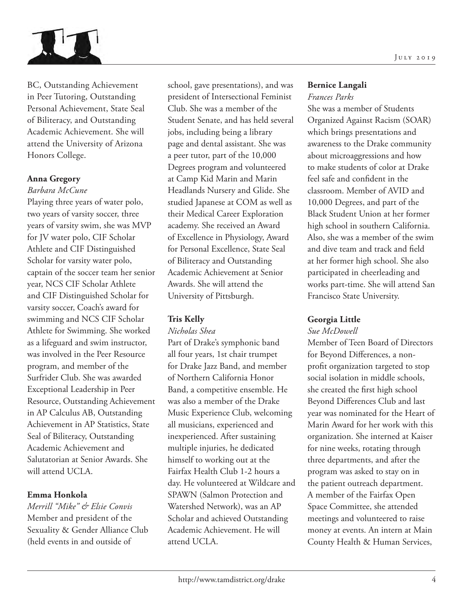

BC, Outstanding Achievement in Peer Tutoring, Outstanding Personal Achievement, State Seal of Biliteracy, and Outstanding Academic Achievement. She will attend the University of Arizona Honors College.

## **Anna Gregory**

#### *Barbara McCune*

Playing three years of water polo, two years of varsity soccer, three years of varsity swim, she was MVP for JV water polo, CIF Scholar Athlete and CIF Distinguished Scholar for varsity water polo, captain of the soccer team her senior year, NCS CIF Scholar Athlete and CIF Distinguished Scholar for varsity soccer, Coach's award for swimming and NCS CIF Scholar Athlete for Swimming. She worked as a lifeguard and swim instructor, was involved in the Peer Resource program, and member of the Surfrider Club. She was awarded Exceptional Leadership in Peer Resource, Outstanding Achievement in AP Calculus AB, Outstanding Achievement in AP Statistics, State Seal of Biliteracy, Outstanding Academic Achievement and Salutatorian at Senior Awards. She will attend UCLA.

## **Emma Honkola**

*Merrill "Mike" & Elsie Convis* Member and president of the Sexuality & Gender Alliance Club (held events in and outside of

school, gave presentations), and was president of Intersectional Feminist Club. She was a member of the Student Senate, and has held several jobs, including being a library page and dental assistant. She was a peer tutor, part of the 10,000 Degrees program and volunteered at Camp Kid Marin and Marin Headlands Nursery and Glide. She studied Japanese at COM as well as their Medical Career Exploration academy. She received an Award of Excellence in Physiology, Award for Personal Excellence, State Seal of Biliteracy and Outstanding Academic Achievement at Senior Awards. She will attend the University of Pittsburgh.

## **Tris Kelly**

## *Nicholas Shea*

Part of Drake's symphonic band all four years, 1st chair trumpet for Drake Jazz Band, and member of Northern California Honor Band, a competitive ensemble. He was also a member of the Drake Music Experience Club, welcoming all musicians, experienced and inexperienced. After sustaining multiple injuries, he dedicated himself to working out at the Fairfax Health Club 1-2 hours a day. He volunteered at Wildcare and SPAWN (Salmon Protection and Watershed Network), was an AP Scholar and achieved Outstanding Academic Achievement. He will attend UCLA.

## **Bernice Langali**

#### *Frances Parks*

She was a member of Students Organized Against Racism (SOAR) which brings presentations and awareness to the Drake community about microaggressions and how to make students of color at Drake feel safe and confident in the classroom. Member of AVID and 10,000 Degrees, and part of the Black Student Union at her former high school in southern California. Also, she was a member of the swim and dive team and track and field at her former high school. She also participated in cheerleading and works part-time. She will attend San Francisco State University.

## **Georgia Little**

## *Sue McDowell*

Member of Teen Board of Directors for Beyond Differences, a nonprofit organization targeted to stop social isolation in middle schools, she created the first high school Beyond Differences Club and last year was nominated for the Heart of Marin Award for her work with this organization. She interned at Kaiser for nine weeks, rotating through three departments, and after the program was asked to stay on in the patient outreach department. A member of the Fairfax Open Space Committee, she attended meetings and volunteered to raise money at events. An intern at Main County Health & Human Services,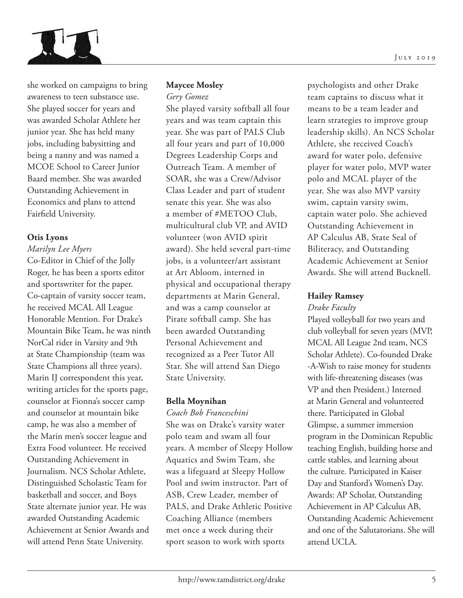

she worked on campaigns to bring awareness to teen substance use. She played soccer for years and was awarded Scholar Athlete her junior year. She has held many jobs, including babysitting and being a nanny and was named a MCOE School to Career Junior Baard member. She was awarded Outstanding Achievement in Economics and plans to attend Fairfield University.

## **Otis Lyons**

*Marilyn Lee Myers*

Co-Editor in Chief of the Jolly Roger, he has been a sports editor and sportswriter for the paper. Co-captain of varsity soccer team, he received MCAL All League Honorable Mention. For Drake's Mountain Bike Team, he was ninth NorCal rider in Varsity and 9th at State Championship (team was State Champions all three years). Marin IJ correspondent this year, writing articles for the sports page, counselor at Fionna's soccer camp and counselor at mountain bike camp, he was also a member of the Marin men's soccer league and Extra Food volunteer. He received Outstanding Achievement in Journalism. NCS Scholar Athlete, Distinguished Scholastic Team for basketball and soccer, and Boys State alternate junior year. He was awarded Outstanding Academic Achievement at Senior Awards and will attend Penn State University.

## **Maycee Mosley**

*Gery Gomez* She played varsity softball all four years and was team captain this year. She was part of PALS Club all four years and part of 10,000 Degrees Leadership Corps and Outreach Team. A member of SOAR, she was a Crew/Advisor Class Leader and part of student senate this year. She was also a member of #METOO Club, multicultural club VP, and AVID volunteer (won AVID spirit award). She held several part-time jobs, is a volunteer/art assistant at Art Abloom, interned in physical and occupational therapy departments at Marin General, and was a camp counselor at Pirate softball camp. She has been awarded Outstanding Personal Achievement and recognized as a Peer Tutor All Star. She will attend San Diego State University.

## **Bella Moynihan**

*Coach Bob Franceschini* She was on Drake's varsity water polo team and swam all four years. A member of Sleepy Hollow Aquatics and Swim Team, she was a lifeguard at Sleepy Hollow Pool and swim instructor. Part of ASB, Crew Leader, member of PALS, and Drake Athletic Positive Coaching Alliance (members met once a week during their sport season to work with sports

psychologists and other Drake team captains to discuss what it means to be a team leader and learn strategies to improve group leadership skills). An NCS Scholar Athlete, she received Coach's award for water polo, defensive player for water polo, MVP water polo and MCAL player of the year. She was also MVP varsity swim, captain varsity swim, captain water polo. She achieved Outstanding Achievement in AP Calculus AB, State Seal of Biliteracy, and Outstanding Academic Achievement at Senior Awards. She will attend Bucknell.

## **Hailey Ramsey**

## *Drake Faculty*

Played volleyball for two years and club volleyball for seven years (MVP, MCAL All League 2nd team, NCS Scholar Athlete). Co-founded Drake -A-Wish to raise money for students with life-threatening diseases (was VP and then President.) Interned at Marin General and volunteered there. Participated in Global Glimpse, a summer immersion program in the Dominican Republic teaching English, building horse and cattle stables, and learning about the culture. Participated in Kaiser Day and Stanford's Women's Day. Awards: AP Scholar, Outstanding Achievement in AP Calculus AB, Outstanding Academic Achievement and one of the Salutatorians. She will attend UCLA.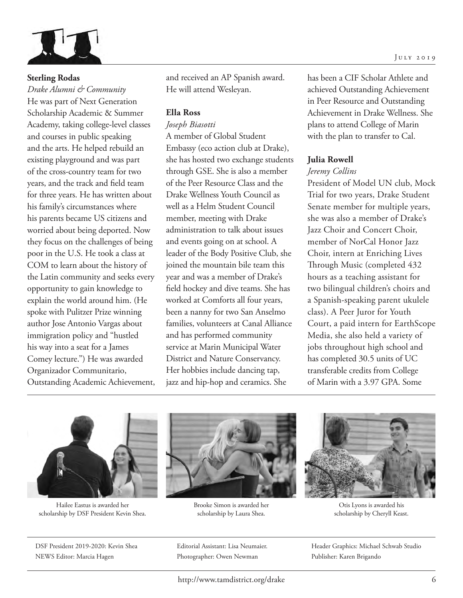

#### **Sterling Rodas**

*Drake Alumni & Community* He was part of Next Generation Scholarship Academic & Summer Academy, taking college-level classes and courses in public speaking and the arts. He helped rebuild an existing playground and was part of the cross-country team for two years, and the track and field team for three years. He has written about his family's circumstances where his parents became US citizens and worried about being deported. Now they focus on the challenges of being poor in the U.S. He took a class at COM to learn about the history of the Latin community and seeks every opportunity to gain knowledge to explain the world around him. (He spoke with Pulitzer Prize winning author Jose Antonio Vargas about immigration policy and "hustled his way into a seat for a James Comey lecture.") He was awarded Organizador Communitario, Outstanding Academic Achievement,

and received an AP Spanish award. He will attend Wesleyan.

#### **Ella Ross**

#### *Joseph Biasotti*

A member of Global Student Embassy (eco action club at Drake), she has hosted two exchange students through GSE. She is also a member of the Peer Resource Class and the Drake Wellness Youth Council as well as a Helm Student Council member, meeting with Drake administration to talk about issues and events going on at school. A leader of the Body Positive Club, she joined the mountain bile team this year and was a member of Drake's field hockey and dive teams. She has worked at Comforts all four years, been a nanny for two San Anselmo families, volunteers at Canal Alliance and has performed community service at Marin Municipal Water District and Nature Conservancy. Her hobbies include dancing tap, jazz and hip-hop and ceramics. She

has been a CIF Scholar Athlete and achieved Outstanding Achievement in Peer Resource and Outstanding Achievement in Drake Wellness. She plans to attend College of Marin with the plan to transfer to Cal.

#### **Julia Rowell**

#### *Jeremy Collins*

President of Model UN club, Mock Trial for two years, Drake Student Senate member for multiple years, she was also a member of Drake's Jazz Choir and Concert Choir, member of NorCal Honor Jazz Choir, intern at Enriching Lives Through Music (completed 432 hours as a teaching assistant for two bilingual children's choirs and a Spanish-speaking parent ukulele class). A Peer Juror for Youth Court, a paid intern for EarthScope Media, she also held a variety of jobs throughout high school and has completed 30.5 units of UC transferable credits from College of Marin with a 3.97 GPA. Some



Hailee Eastus is awarded her scholarship by DSF President Kevin Shea.



Brooke Simon is awarded her scholarship by Laura Shea.



Otis Lyons is awarded his scholarship by Cheryll Keast.

DSF President 2019-2020: Kevin Shea NEWS Editor: Marcia Hagen

Editorial Assistant: Lisa Neumaier. Photographer: Owen Newman

Header Graphics: Michael Schwab Studio Publisher: Karen Brigando

http://www.tamdistrict.org/drake 6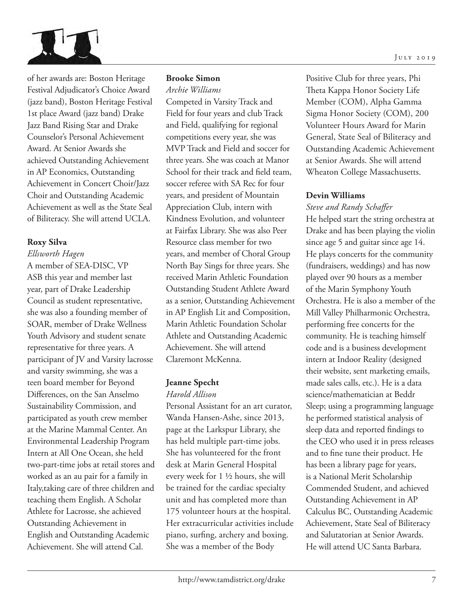July 2019



of her awards are: Boston Heritage Festival Adjudicator's Choice Award (jazz band), Boston Heritage Festival 1st place Award (jazz band) Drake Jazz Band Rising Star and Drake Counselor's Personal Achievement Award. At Senior Awards she achieved Outstanding Achievement in AP Economics, Outstanding Achievement in Concert Choir/Jazz Choir and Outstanding Academic Achievement as well as the State Seal of Biliteracy. She will attend UCLA.

## **Roxy Silva**

## *Ellsworth Hagen*

A member of SEA-DISC, VP ASB this year and member last year, part of Drake Leadership Council as student representative, she was also a founding member of SOAR, member of Drake Wellness Youth Advisory and student senate representative for three years. A participant of JV and Varsity lacrosse and varsity swimming, she was a teen board member for Beyond Differences, on the San Anselmo Sustainability Commission, and participated as youth crew member at the Marine Mammal Center. An Environmental Leadership Program Intern at All One Ocean, she held two-part-time jobs at retail stores and worked as an au pair for a family in Italy,taking care of three children and teaching them English. A Scholar Athlete for Lacrosse, she achieved Outstanding Achievement in English and Outstanding Academic Achievement. She will attend Cal.

## **Brooke Simon**

*Archie Williams* Competed in Varsity Track and Field for four years and club Track and Field, qualifying for regional competitions every year, she was MVP Track and Field and soccer for three years. She was coach at Manor School for their track and field team, soccer referee with SA Rec for four years, and president of Mountain Appreciation Club, intern with Kindness Evolution, and volunteer at Fairfax Library. She was also Peer Resource class member for two years, and member of Choral Group North Bay Sings for three years. She received Marin Athletic Foundation Outstanding Student Athlete Award as a senior, Outstanding Achievement in AP English Lit and Composition, Marin Athletic Foundation Scholar Athlete and Outstanding Academic Achievement. She will attend Claremont McKenna.

## **Jeanne Specht**

## *Harold Allison*

Personal Assistant for an art curator, Wanda Hansen-Ashe, since 2013, page at the Larkspur Library, she has held multiple part-time jobs. She has volunteered for the front desk at Marin General Hospital every week for 1 ½ hours, she will be trained for the cardiac specialty unit and has completed more than 175 volunteer hours at the hospital. Her extracurricular activities include piano, surfing, archery and boxing. She was a member of the Body

Positive Club for three years, Phi Theta Kappa Honor Society Life Member (COM), Alpha Gamma Sigma Honor Society (COM), 200 Volunteer Hours Award for Marin General, State Seal of Biliteracy and Outstanding Academic Achievement at Senior Awards. She will attend Wheaton College Massachusetts.

## **Devin Williams**

## *Steve and Randy Schaffer*

He helped start the string orchestra at Drake and has been playing the violin since age 5 and guitar since age 14. He plays concerts for the community (fundraisers, weddings) and has now played over 90 hours as a member of the Marin Symphony Youth Orchestra. He is also a member of the Mill Valley Philharmonic Orchestra, performing free concerts for the community. He is teaching himself code and is a business development intern at Indoor Reality (designed their website, sent marketing emails, made sales calls, etc.). He is a data science/mathematician at Beddr Sleep; using a programming language he performed statistical analysis of sleep data and reported findings to the CEO who used it in press releases and to fine tune their product. He has been a library page for years, is a National Merit Scholarship Commended Student, and achieved Outstanding Achievement in AP Calculus BC, Outstanding Academic Achievement, State Seal of Biliteracy and Salutatorian at Senior Awards. He will attend UC Santa Barbara.